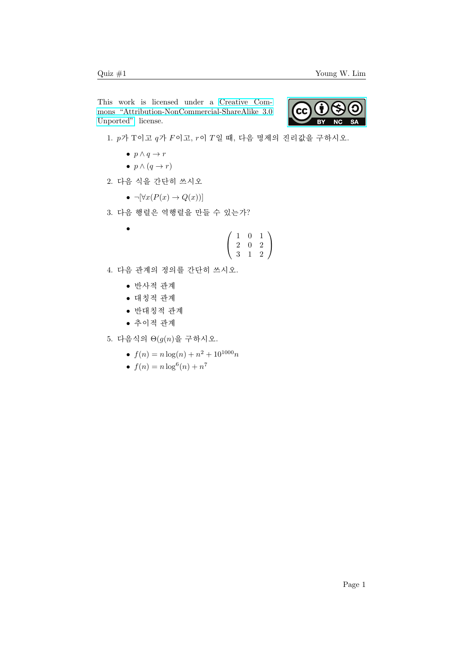This work is licensed under a [Creative Com](https://creativecommons.org/licenses/by-nc-sa/3.0/deed.en)[mons "Attribution-NonCommercial-ShareAlike 3.0](https://creativecommons.org/licenses/by-nc-sa/3.0/deed.en) [Unported"](https://creativecommons.org/licenses/by-nc-sa/3.0/deed.en) license.



- 1.  $p$ 가 T이고  $q$ 가  $F$ 이고,  $r$ 이  $T$ 일 때, 다음 명제의 진리값을 구하시오.
	- $p \wedge q \rightarrow r$
	- $p \wedge (q \rightarrow r)$
- 2. 다음 식을 간단히 쓰시오
	- $\neg[\forall x(P(x) \rightarrow Q(x))]$
- 3. 다음 행렬은 역행렬을 만들 수 있는가?

$$
\begin{pmatrix}\n1 & 0 & 1 \\
2 & 0 & 2 \\
3 & 1 & 2\n\end{pmatrix}
$$

- 4. 다음 관계의 정의를 간단히 쓰시오.
	- $\bullet$  반사적 관계
	- $\bullet$  대칭적 관계
	- $\bullet$  반대칭적 관계
	- $\bullet$  추이적 관계
- 5. 다음식의  $\Theta(g(n)$ 을 구하시오.
	- $f(n) = n \log(n) + n^2 + 10^{1000}n$
	- $f(n) = n \log^6(n) + n^7$